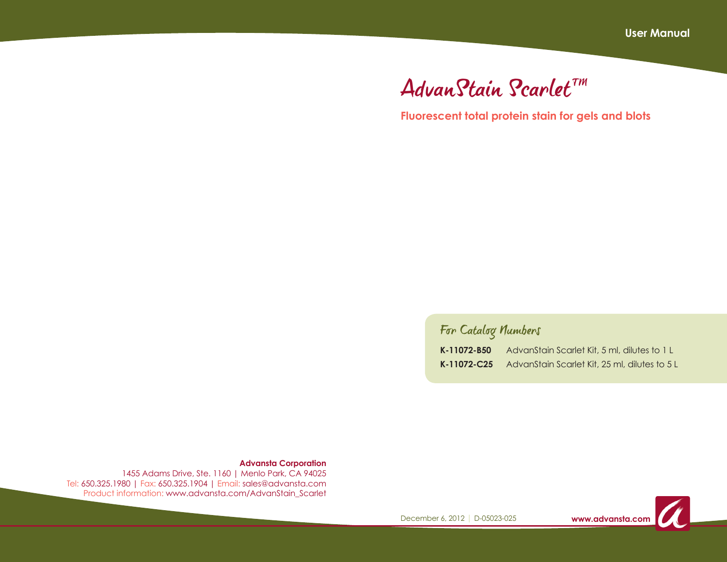# AdvanStain Scarlet™

**Fluorescent total protein stain for gels and blots**

# For Catalog Numbers

| K-11072-B50 | AdvanStain Scarlet Kit, 5 ml, dilutes to 1 L  |
|-------------|-----------------------------------------------|
| K-11072-C25 | AdvanStain Scarlet Kit, 25 ml, dilutes to 5 L |

**Advansta Corporation**

1455 Adams Drive, Ste. 1160 | Menlo Park, CA 94025 Tel: 650.325.1980 | Fax: 650.325.1904 | Email: sales@advansta.com Product information: www.advansta.com/AdvanStain\_Scarlet

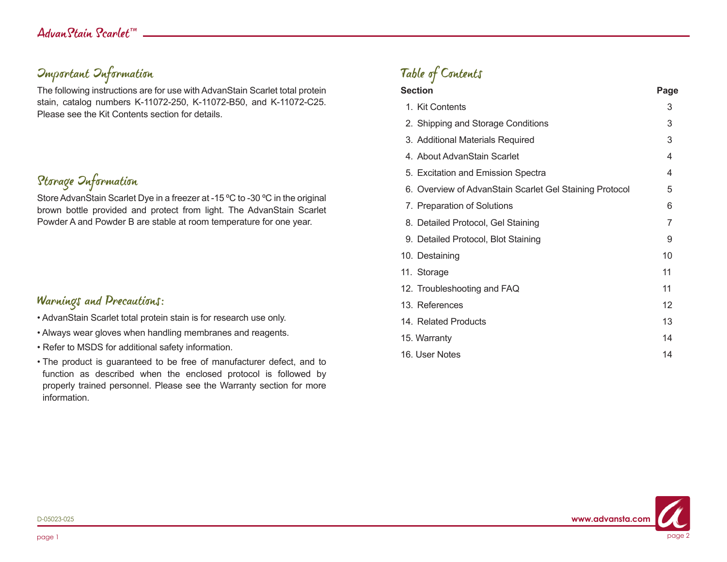# Important Information

The following instructions are for use with AdvanStain Scarlet total protein stain, catalog numbers K-11072-250, K-11072-B50, and K-11072-C25. Please see the Kit Contents section for details.

# Storage Information

Store AdvanStain Scarlet Dye in a freezer at -15 ºC to -30 ºC in the original brown bottle provided and protect from light. The AdvanStain Scarlet Powder A and Powder B are stable at room temperature for one year.

### Warnings and Precautions:

- AdvanStain Scarlet total protein stain is for research use only.
- Always wear gloves when handling membranes and reagents.
- Refer to MSDS for additional safety information.
- The product is guaranteed to be free of manufacturer defect, and to function as described when the enclosed protocol is followed by properly trained personnel. Please see the Warranty section for more information.

# Table of Contents

| <b>Section</b>                                          | Page |
|---------------------------------------------------------|------|
| 1. Kit Contents                                         | 3    |
| 2. Shipping and Storage Conditions                      | 3    |
| 3. Additional Materials Required                        | 3    |
| 4. About AdvanStain Scarlet                             | 4    |
| 5. Excitation and Emission Spectra                      | 4    |
| 6. Overview of AdvanStain Scarlet Gel Staining Protocol | 5    |
| 7. Preparation of Solutions                             | 6    |
| 8. Detailed Protocol, Gel Staining                      | 7    |
| 9. Detailed Protocol, Blot Staining                     | 9    |
| 10. Destaining                                          | 10   |
| 11. Storage                                             | 11   |
| 12. Troubleshooting and FAQ                             | 11   |
| 13. References                                          | 12   |
| 14. Related Products                                    | 13   |
| 15. Warranty                                            | 14   |
| 16. User Notes                                          | 14   |

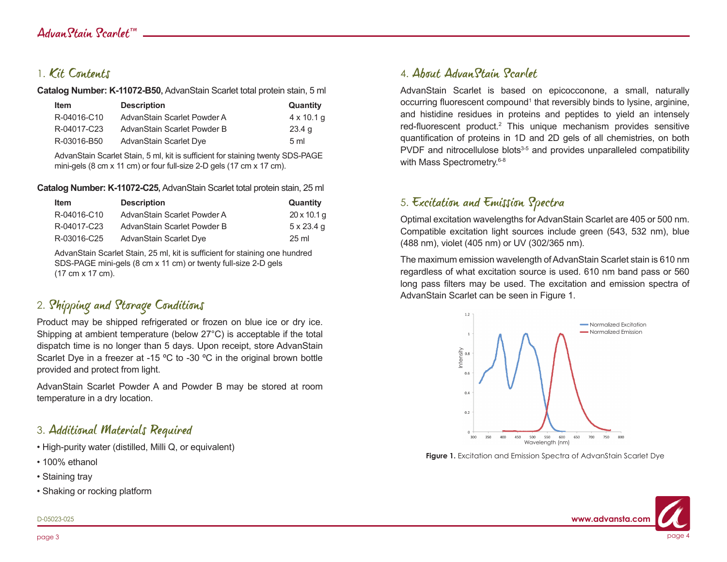### 1. Kit Contents

**Catalog Number: K-11072-B50,** AdvanStain Scarlet total protein stain, 5 ml

| <b>Item</b> | <b>Description</b>          | Quantity          |
|-------------|-----------------------------|-------------------|
| R-04016-C10 | AdvanStain Scarlet Powder A | $4 \times 10.1$ q |
| R-04017-C23 | AdvanStain Scarlet Powder B | 23.4 <sub>q</sub> |
| R-03016-B50 | AdvanStain Scarlet Dye      | 5 <sub>m</sub>    |

AdvanStain Scarlet Stain, 5 ml, kit is sufficient for staining twenty SDS-PAGE mini-gels (8 cm x 11 cm) or four full-size 2-D gels (17 cm x 17 cm).

**Catalog Number: K-11072-C25,** AdvanStain Scarlet total protein stain, 25 ml

| <b>Item</b> | <b>Description</b>          | Quantity           |
|-------------|-----------------------------|--------------------|
| R-04016-C10 | AdvanStain Scarlet Powder A | $20 \times 10.1$ g |
| R-04017-C23 | AdvanStain Scarlet Powder B | $5 \times 23.4$ q  |
| R-03016-C25 | AdvanStain Scarlet Dye      | $25 \text{ ml}$    |

AdvanStain Scarlet Stain, 25 ml, kit is sufficient for staining one hundred SDS-PAGE mini-gels (8 cm x 11 cm) or twenty full-size 2-D gels (17 cm x 17 cm).

# 2. Shipping and Storage Conditions

Product may be shipped refrigerated or frozen on blue ice or dry ice. Shipping at ambient temperature (below 27°C) is acceptable if the total dispatch time is no longer than 5 days. Upon receipt, store AdvanStain Scarlet Dye in a freezer at -15 °C to -30 °C in the original brown bottle provided and protect from light.

AdvanStain Scarlet Powder A and Powder B may be stored at room temperature in a dry location.

### 3. Additional Materials Required

- High-purity water (distilled, Milli Q, or equivalent)
- 100% ethanol
- Staining tray
- Shaking or rocking platform

### 4. About AdvanStain Scarlet

AdvanStain Scarlet is based on epicocconone, a small, naturally occurring fluorescent compound<sup>1</sup> that reversibly binds to lysine, arginine, and histidine residues in proteins and peptides to yield an intensely red-fluorescent product.<sup>2</sup> This unique mechanism provides sensitive quantification of proteins in 1D and 2D gels of all chemistries, on both PVDF and nitrocellulose blots<sup>3-5</sup> and provides unparalleled compatibility with Mass Spectrometry.<sup>6-8</sup>

### 5. Excitation and Emission Spectra

Optimal excitation wavelengths for AdvanStain Scarlet are 405 or 500 nm. Compatible excitation light sources include green (543, 532 nm), blue (488 nm), violet (405 nm) or UV (302/365 nm).

The maximum emission wavelength of AdvanStain Scarlet stain is 610 nm regardless of what excitation source is used. 610 nm band pass or 560 long pass filters may be used. The excitation and emission spectra of AdvanStain Scarlet can be seen in Figure 1.



Figure 1. Excitation and Emission Spectra of AdvanStain Scarlet Dye

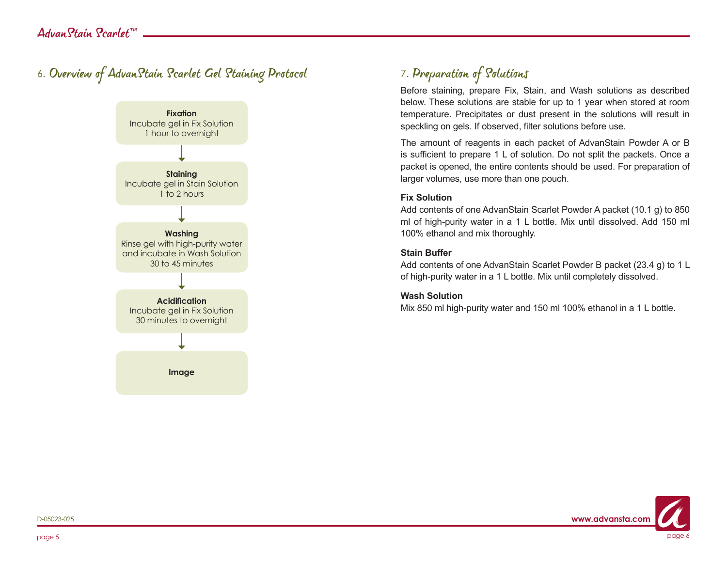# 6. Overview of AdvanStain Scarlet Gel Staining Protocol



# 7. Preparation of Solutions

Before staining, prepare Fix, Stain, and Wash solutions as described below. These solutions are stable for up to 1 year when stored at room temperature. Precipitates or dust present in the solutions will result in speckling on gels. If observed, filter solutions before use.

The amount of reagents in each packet of AdvanStain Powder A or B is sufficient to prepare 1 L of solution. Do not split the packets. Once a packet is opened, the entire contents should be used. For preparation of larger volumes, use more than one pouch.

#### **Fix Solution**

Add contents of one AdvanStain Scarlet Powder A packet (10.1 g) to 850 ml of high-purity water in a 1 L bottle. Mix until dissolved. Add 150 ml 100% ethanol and mix thoroughly.

#### **Stain Buffer**

Add contents of one AdvanStain Scarlet Powder B packet (23.4 g) to 1 L of high-purity water in a 1 L bottle. Mix until completely dissolved.

#### **Wash Solution**

Mix 850 ml high-purity water and 150 ml 100% ethanol in a 1 L bottle.

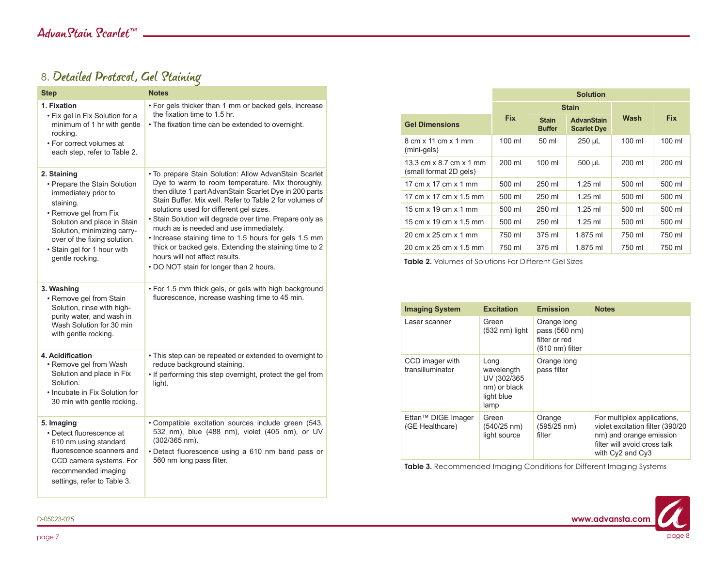# 8. Detailed Protocol, Gel Staining

| <b>Step</b>                                                                                                                                                                                                                                               | <b>Notes</b>                                                                                                                                                                                                                                                                                                                                                                                                                                                                                                                                                                    |
|-----------------------------------------------------------------------------------------------------------------------------------------------------------------------------------------------------------------------------------------------------------|---------------------------------------------------------------------------------------------------------------------------------------------------------------------------------------------------------------------------------------------------------------------------------------------------------------------------------------------------------------------------------------------------------------------------------------------------------------------------------------------------------------------------------------------------------------------------------|
| 1. Fixation<br>• Fix gel in Fix Solution for a<br>minimum of 1 hr with gentle<br>rocking.<br>• For correct volumes at<br>each step, refer to Table 2.                                                                                                     | . For gels thicker than 1 mm or backed gels, increase<br>the fixation time to 1.5 hr.<br>. The fixation time can be extended to overnight.                                                                                                                                                                                                                                                                                                                                                                                                                                      |
| 2. Staining<br>• Prepare the Stain Solution<br>immediately prior to<br>staining.<br>• Remove gel from Fix<br>Solution and place in Stain<br>Solution, minimizing carry-<br>over of the fixing solution.<br>· Stain gel for 1 hour with<br>gentle rocking. | · To prepare Stain Solution: Allow AdvanStain Scarlet<br>Dye to warm to room temperature. Mix thoroughly,<br>then dilute 1 part AdvanStain Scarlet Dye in 200 parts<br>Stain Buffer. Mix well. Refer to Table 2 for volumes of<br>solutions used for different gel sizes.<br>• Stain Solution will degrade over time. Prepare only as<br>much as is needed and use immediately.<br>. Increase staining time to 1.5 hours for gels 1.5 mm<br>thick or backed gels. Extending the staining time to 2<br>hours will not affect results.<br>• DO NOT stain for longer than 2 hours. |
| 3. Washing<br>• Remove gel from Stain<br>Solution, rinse with high-<br>purity water, and wash in<br>Wash Solution for 30 min<br>with gentle rocking.                                                                                                      | . For 1.5 mm thick gels, or gels with high background<br>fluorescence, increase washing time to 45 min.                                                                                                                                                                                                                                                                                                                                                                                                                                                                         |
| 4. Acidification<br>• Remove gel from Wash<br>Solution and place in Fix<br>Solution.<br>• Incubate in Fix Solution for<br>30 min with gentle rocking.                                                                                                     | • This step can be repeated or extended to overnight to<br>reduce background staining.<br>. If performing this step overnight, protect the gel from<br>light.                                                                                                                                                                                                                                                                                                                                                                                                                   |
| 5. Imaging<br>• Detect fluorescence at<br>610 nm using standard<br>fluorescence scanners and<br>CCD camera systems. For<br>recommended imaging<br>settings, refer to Table 3.                                                                             | · Compatible excitation sources include green (543,<br>532 nm), blue (488 nm), violet (405 nm), or UV<br>(302/365 nm).<br>• Detect fluorescence using a 610 nm band pass or<br>560 nm long pass filter.                                                                                                                                                                                                                                                                                                                                                                         |

|                                                   | <b>Solution</b> |                               |                                         |                  |                  |
|---------------------------------------------------|-----------------|-------------------------------|-----------------------------------------|------------------|------------------|
|                                                   |                 | <b>Stain</b>                  |                                         |                  |                  |
| <b>Gel Dimensions</b>                             | <b>Fix</b>      | <b>Stain</b><br><b>Buffer</b> | <b>AdvanStain</b><br><b>Scarlet Dye</b> | Wash             | <b>Fix</b>       |
| 8 cm x 11 cm x 1 mm<br>(mini-gels)                | 100 ml          | 50 ml                         | 250 µL                                  | $100 \mathrm{m}$ | $100 \mathrm{m}$ |
| 13.3 cm x 8.7 cm x 1 mm<br>(small format 2D gels) | 200 ml          | $100 \mathrm{ml}$             | 500 µL                                  | 200 ml           | 200 ml           |
| 17 cm x 17 cm x 1 mm                              | 500 ml          | 250 ml                        | $1.25$ ml                               | 500 ml           | 500 ml           |
| 17 cm x 17 cm x 1 5 mm                            | 500 ml          | 250 ml                        | $1.25$ ml                               | 500 ml           | 500 ml           |
| 15 cm $\times$ 19 cm $\times$ 1 mm                | 500 ml          | 250 ml                        | $1.25$ ml                               | 500 ml           | 500 ml           |
| 15 cm x 19 cm x 1.5 mm                            | 500 ml          | 250 ml                        | $1.25$ ml                               | 500 ml           | 500 ml           |
| 20 cm x 25 cm x 1 mm                              | 750 ml          | 375 ml                        | 1.875 ml                                | 750 ml           | 750 ml           |
| 20 cm x 25 cm x 1.5 mm                            | 750 ml          | 375 ml                        | 1.875 ml                                | 750 ml           | 750 ml           |

**Table 2.** Volumes of Solutions For Different Gel Sizes

| <b>Imaging System</b>                 | <b>Excitation</b>                                                        | <b>Emission</b>                                                            | <b>Notes</b>                                                                                                                                    |
|---------------------------------------|--------------------------------------------------------------------------|----------------------------------------------------------------------------|-------------------------------------------------------------------------------------------------------------------------------------------------|
| Laser scanner                         | Green<br>$(532 \text{ nm})$ light                                        | Orange long<br>pass (560 nm)<br>filter or red<br>$(610 \text{ nm})$ filter |                                                                                                                                                 |
| CCD imager with<br>transilluminator   | Long<br>wavelength<br>UV (302/365)<br>nm) or black<br>light blue<br>lamp | Orange long<br>pass filter                                                 |                                                                                                                                                 |
| Ettan™ DIGE Imager<br>(GE Healthcare) | Green<br>$(540/25 \text{ nm})$<br>light source                           | Orange<br>$(595/25 \text{ nm})$<br>filter                                  | For multiplex applications,<br>violet excitation filter (390/20)<br>nm) and orange emission<br>filter will avoid cross talk<br>with Cy2 and Cy3 |

**Table 3.** Recommended Imaging Conditions for Different Imaging Systems

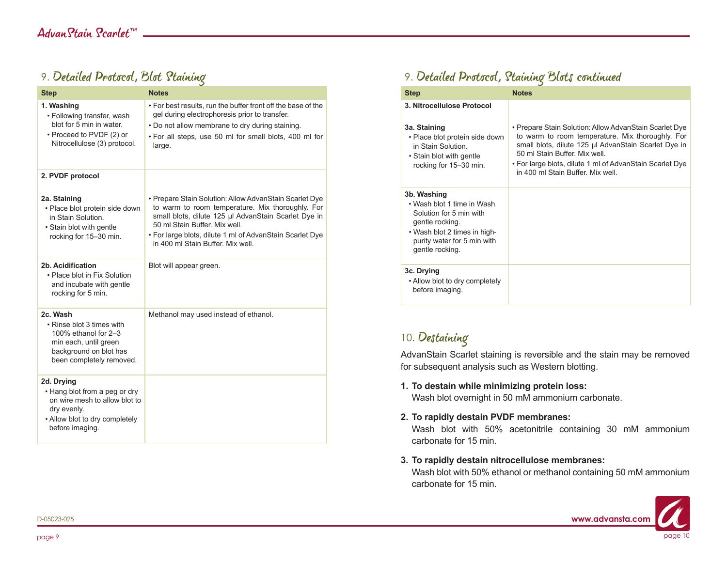### 9. Detailed Protocol, Blot Staining

| <b>Step</b>                                                                                                                                      | <b>Notes</b>                                                                                                                                                                                                                                                                                         |
|--------------------------------------------------------------------------------------------------------------------------------------------------|------------------------------------------------------------------------------------------------------------------------------------------------------------------------------------------------------------------------------------------------------------------------------------------------------|
| 1. Washing<br>• Following transfer, wash<br>blot for 5 min in water.<br>• Proceed to PVDF (2) or<br>Nitrocellulose (3) protocol.                 | • For best results, run the buffer front off the base of the<br>gel during electrophoresis prior to transfer.<br>. Do not allow membrane to dry during staining.<br>. For all steps, use 50 ml for small blots, 400 ml for<br>large.                                                                 |
| 2. PVDF protocol                                                                                                                                 |                                                                                                                                                                                                                                                                                                      |
| 2a. Staining<br>• Place blot protein side down<br>in Stain Solution.<br>• Stain blot with gentle<br>rocking for 15-30 min.                       | • Prepare Stain Solution: Allow AdvanStain Scarlet Dye<br>to warm to room temperature. Mix thoroughly. For<br>small blots, dilute 125 µl AdvanStain Scarlet Dye in<br>50 ml Stain Buffer, Mix well.<br>. For large blots, dilute 1 ml of AdvanStain Scarlet Dye<br>in 400 ml Stain Buffer. Mix well. |
| 2b. Acidification<br>• Place blot in Fix Solution<br>and incubate with gentle<br>rocking for 5 min.                                              | Blot will appear green.                                                                                                                                                                                                                                                                              |
| 2c. Wash<br>• Rinse blot 3 times with<br>100% ethanol for 2-3<br>min each, until green<br>background on blot has<br>been completely removed.     | Methanol may used instead of ethanol.                                                                                                                                                                                                                                                                |
| 2d. Drying<br>. Hang blot from a peg or dry<br>on wire mesh to allow blot to<br>dry evenly.<br>• Allow blot to dry completely<br>before imaging. |                                                                                                                                                                                                                                                                                                      |

# 9. Detailed Protocol, Staining Blots continued

| <b>Step</b>                                                                                                                                                               | <b>Notes</b>                                                                                                                                                                                                                                                                                       |
|---------------------------------------------------------------------------------------------------------------------------------------------------------------------------|----------------------------------------------------------------------------------------------------------------------------------------------------------------------------------------------------------------------------------------------------------------------------------------------------|
| 3. Nitrocellulose Protocol<br>3a. Staining<br>• Place blot protein side down<br>in Stain Solution<br>• Stain blot with gentle<br>rocking for 15-30 min.                   | • Prepare Stain Solution: Allow AdvanStain Scarlet Dye<br>to warm to room temperature. Mix thoroughly. For<br>small blots, dilute 125 µl AdvanStain Scarlet Dye in<br>50 ml Stain Buffer Mix well<br>• For large blots, dilute 1 ml of AdvanStain Scarlet Dye<br>in 400 ml Stain Buffer. Mix well. |
| 3b. Washing<br>• Wash blot 1 time in Wash<br>Solution for 5 min with<br>gentle rocking.<br>• Wash blot 2 times in high-<br>purity water for 5 min with<br>gentle rocking. |                                                                                                                                                                                                                                                                                                    |
| 3c. Drying<br>• Allow blot to dry completely<br>before imaging.                                                                                                           |                                                                                                                                                                                                                                                                                                    |

### 10. Destaining

AdvanStain Scarlet staining is reversible and the stain may be removed for subsequent analysis such as Western blotting.

**1. To destain while minimizing protein loss:**

Wash blot overnight in 50 mM ammonium carbonate.

#### **2. To rapidly destain PVDF membranes:**

Wash blot with 50% acetonitrile containing 30 mM ammonium carbonate for 15 min.

#### **3. To rapidly destain nitrocellulose membranes:**

Wash blot with 50% ethanol or methanol containing 50 mM ammonium carbonate for 15 min.

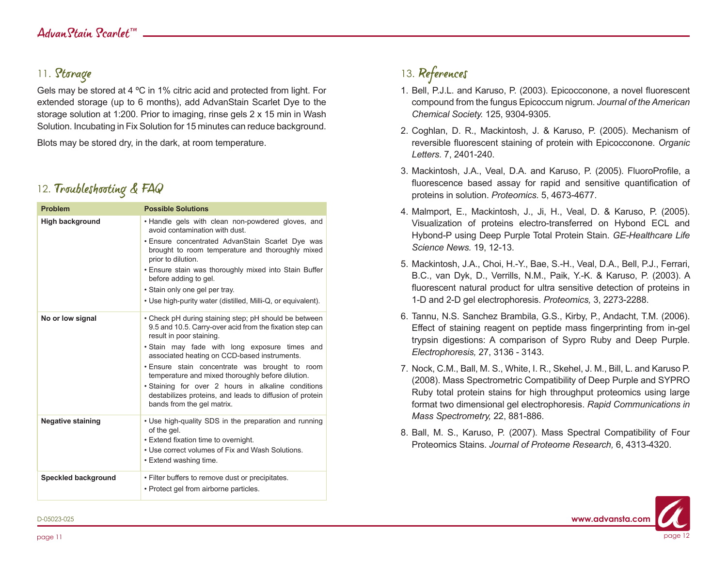### 11. Storage

Gels may be stored at 4 ºC in 1% citric acid and protected from light. For extended storage (up to 6 months), add AdvanStain Scarlet Dye to the storage solution at 1:200. Prior to imaging, rinse gels 2 x 15 min in Wash Solution. Incubating in Fix Solution for 15 minutes can reduce background.

Blots may be stored dry, in the dark, at room temperature.

### 12. Troubleshooting & FAQ

| <b>Problem</b>             | <b>Possible Solutions</b>                                                                                                                                                                  |
|----------------------------|--------------------------------------------------------------------------------------------------------------------------------------------------------------------------------------------|
| <b>High background</b>     | . Handle gels with clean non-powdered gloves, and<br>avoid contamination with dust.                                                                                                        |
|                            | . Ensure concentrated AdvanStain Scarlet Dye was<br>brought to room temperature and thoroughly mixed<br>prior to dilution.                                                                 |
|                            | . Ensure stain was thoroughly mixed into Stain Buffer<br>before adding to gel.                                                                                                             |
|                            | • Stain only one gel per tray.                                                                                                                                                             |
|                            | • Use high-purity water (distilled, Milli-Q, or equivalent).                                                                                                                               |
| No or low signal           | • Check pH during staining step; pH should be between<br>9.5 and 10.5. Carry-over acid from the fixation step can<br>result in poor staining.                                              |
|                            | . Stain may fade with long exposure times and<br>associated heating on CCD-based instruments.                                                                                              |
|                            | . Ensure stain concentrate was brought to room<br>temperature and mixed thoroughly before dilution.                                                                                        |
|                            | · Staining for over 2 hours in alkaline conditions<br>destabilizes proteins, and leads to diffusion of protein<br>bands from the gel matrix.                                               |
| <b>Negative staining</b>   | • Use high-quality SDS in the preparation and running<br>of the gel.<br>. Extend fixation time to overnight.<br>. Use correct volumes of Fix and Wash Solutions.<br>• Extend washing time. |
| <b>Speckled background</b> | . Filter buffers to remove dust or precipitates.<br>• Protect gel from airborne particles.                                                                                                 |

# 13. References

- 1. Bell, P.J.L. and Karuso, P. (2003). Epicocconone, a novel fluorescent compound from the fungus Epicoccum nigrum. *Journal of the American Chemical Society.* 125, 9304-9305.
- 2. Coghlan, D. R., Mackintosh, J. & Karuso, P. (2005). Mechanism of reversible fluorescent staining of protein with Epicocconone. *Organic Letters.* 7, 2401-240.
- 3. Mackintosh, J.A., Veal, D.A. and Karuso, P. (2005). FluoroProfile, a fluorescence based assay for rapid and sensitive quantification of proteins in solution. *Proteomics.* 5, 4673-4677.
- 4. Malmport, E., Mackintosh, J., Ji, H., Veal, D. & Karuso, P. (2005). Visualization of proteins electro-transferred on Hybond ECL and Hybond-P using Deep Purple Total Protein Stain. *GE-Healthcare Life Science News.* 19, 12-13.
- 5. Mackintosh, J.A., Choi, H.-Y., Bae, S.-H., Veal, D.A., Bell, P.J., Ferrari, B.C., van Dyk, D., Verrills, N.M., Paik, Y.-K. & Karuso, P. (2003). A fluorescent natural product for ultra sensitive detection of proteins in 1-D and 2-D gel electrophoresis. *Proteomics,* 3, 2273-2288.
- 6. Tannu, N.S. Sanchez Brambila, G.S., Kirby, P., Andacht, T.M. (2006). Effect of staining reagent on peptide mass fingerprinting from in-gel trypsin digestions: A comparison of Sypro Ruby and Deep Purple. *Electrophoresis,* 27, 3136 - 3143.
- 7. Nock, C.M., Ball, M. S., White, I. R., Skehel, J. M., Bill, L. and Karuso P. (2008). Mass Spectrometric Compatibility of Deep Purple and SYPRO Ruby total protein stains for high throughput proteomics using large format two dimensional gel electrophoresis. *Rapid Communications in Mass Spectrometry,* 22, 881-886.
- 8. Ball, M. S., Karuso, P. (2007). Mass Spectral Compatibility of Four Proteomics Stains. *Journal of Proteome Research,* 6, 4313-4320.